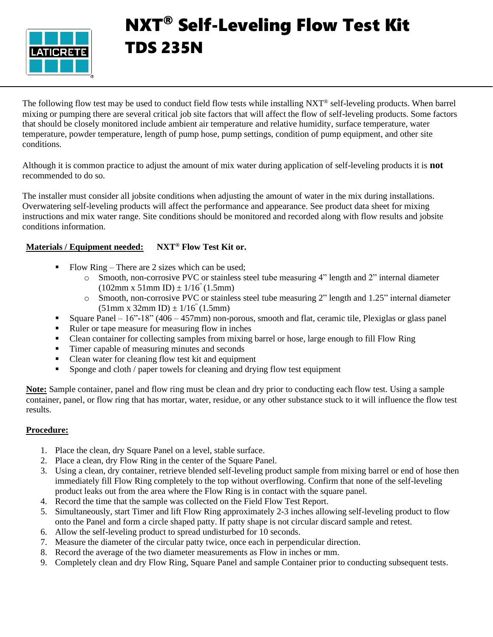

# NXT® Self-Leveling Flow Test Kit TDS 235N

The following flow test may be used to conduct field flow tests while installing NXT® self-leveling products. When barrel mixing or pumping there are several critical job site factors that will affect the flow of self-leveling products. Some factors that should be closely monitored include ambient air temperature and relative humidity, surface temperature, water temperature, powder temperature, length of pump hose, pump settings, condition of pump equipment, and other site conditions.

Although it is common practice to adjust the amount of mix water during application of self-leveling products it is **not** recommended to do so.

The installer must consider all jobsite conditions when adjusting the amount of water in the mix during installations. Overwatering self-leveling products will affect the performance and appearance. See product data sheet for mixing instructions and mix water range. Site conditions should be monitored and recorded along with flow results and jobsite conditions information.

## **Materials / Equipment needed: NXT® Flow Test Kit or.**

- $\blacksquare$  Flow Ring There are 2 sizes which can be used;
	- o Smooth, non-corrosive PVC or stainless steel tube measuring 4" length and 2" internal diameter  $(102mm \times 51mm \text{ ID}) \pm 1/16" (1.5mm)$
	- o Smooth, non-corrosive PVC or stainless steel tube measuring 2" length and 1.25" internal diameter  $(51mm \times 32mm \text{ID}) \pm 1/16^{\degree} (1.5mm)$
- **•** Square Panel 16"-18" (406 457mm) non-porous, smooth and flat, ceramic tile, Plexiglas or glass panel
- Ruler or tape measure for measuring flow in inches
- Clean container for collecting samples from mixing barrel or hose, large enough to fill Flow Ring
- Timer capable of measuring minutes and seconds
- Clean water for cleaning flow test kit and equipment
- Sponge and cloth / paper towels for cleaning and drying flow test equipment

**Note:** Sample container, panel and flow ring must be clean and dry prior to conducting each flow test. Using a sample container, panel, or flow ring that has mortar, water, residue, or any other substance stuck to it will influence the flow test results.

## **Procedure:**

- 1. Place the clean, dry Square Panel on a level, stable surface.
- 2. Place a clean, dry Flow Ring in the center of the Square Panel.
- 3. Using a clean, dry container, retrieve blended self-leveling product sample from mixing barrel or end of hose then immediately fill Flow Ring completely to the top without overflowing. Confirm that none of the self-leveling product leaks out from the area where the Flow Ring is in contact with the square panel.
- 4. Record the time that the sample was collected on the Field Flow Test Report.
- 5. Simultaneously, start Timer and lift Flow Ring approximately 2-3 inches allowing self-leveling product to flow onto the Panel and form a circle shaped patty. If patty shape is not circular discard sample and retest.
- 6. Allow the self-leveling product to spread undisturbed for 10 seconds.
- 7. Measure the diameter of the circular patty twice, once each in perpendicular direction.
- 8. Record the average of the two diameter measurements as Flow in inches or mm.
- 9. Completely clean and dry Flow Ring, Square Panel and sample Container prior to conducting subsequent tests.